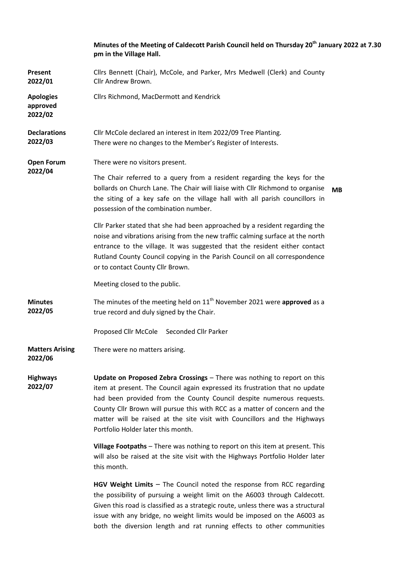|                                         | Minutes of the Meeting of Caldecott Parish Council held on Thursday 20 <sup>th</sup> January 2022 at 7.30<br>pm in the Village Hall.                                                                                                                                                                                                                                                                                             |
|-----------------------------------------|----------------------------------------------------------------------------------------------------------------------------------------------------------------------------------------------------------------------------------------------------------------------------------------------------------------------------------------------------------------------------------------------------------------------------------|
| Present<br>2022/01                      | Cllrs Bennett (Chair), McCole, and Parker, Mrs Medwell (Clerk) and County<br>Cllr Andrew Brown.                                                                                                                                                                                                                                                                                                                                  |
| <b>Apologies</b><br>approved<br>2022/02 | Cllrs Richmond, MacDermott and Kendrick                                                                                                                                                                                                                                                                                                                                                                                          |
| <b>Declarations</b><br>2022/03          | Cllr McCole declared an interest in Item 2022/09 Tree Planting.<br>There were no changes to the Member's Register of Interests.                                                                                                                                                                                                                                                                                                  |
| <b>Open Forum</b><br>2022/04            | There were no visitors present.                                                                                                                                                                                                                                                                                                                                                                                                  |
|                                         | The Chair referred to a query from a resident regarding the keys for the<br>bollards on Church Lane. The Chair will liaise with Cllr Richmond to organise<br><b>MB</b><br>the siting of a key safe on the village hall with all parish councillors in<br>possession of the combination number.                                                                                                                                   |
|                                         | Cllr Parker stated that she had been approached by a resident regarding the<br>noise and vibrations arising from the new traffic calming surface at the north<br>entrance to the village. It was suggested that the resident either contact<br>Rutland County Council copying in the Parish Council on all correspondence<br>or to contact County Cllr Brown.                                                                    |
|                                         | Meeting closed to the public.                                                                                                                                                                                                                                                                                                                                                                                                    |
| <b>Minutes</b><br>2022/05               | The minutes of the meeting held on $11th$ November 2021 were approved as a<br>true record and duly signed by the Chair.                                                                                                                                                                                                                                                                                                          |
|                                         | Proposed Cllr McCole Seconded Cllr Parker                                                                                                                                                                                                                                                                                                                                                                                        |
| <b>Matters Arising</b><br>2022/06       | There were no matters arising.                                                                                                                                                                                                                                                                                                                                                                                                   |
| <b>Highways</b><br>2022/07              | Update on Proposed Zebra Crossings - There was nothing to report on this<br>item at present. The Council again expressed its frustration that no update<br>had been provided from the County Council despite numerous requests.<br>County Cllr Brown will pursue this with RCC as a matter of concern and the<br>matter will be raised at the site visit with Councillors and the Highways<br>Portfolio Holder later this month. |
|                                         | Village Footpaths - There was nothing to report on this item at present. This<br>will also be raised at the site visit with the Highways Portfolio Holder later<br>this month.                                                                                                                                                                                                                                                   |
|                                         | HGV Weight Limits - The Council noted the response from RCC regarding<br>the possibility of pursuing a weight limit on the A6003 through Caldecott.                                                                                                                                                                                                                                                                              |

Given this road is classified as a strategic route, unless there was a structural issue with any bridge, no weight limits would be imposed on the A6003 as both the diversion length and rat running effects to other communities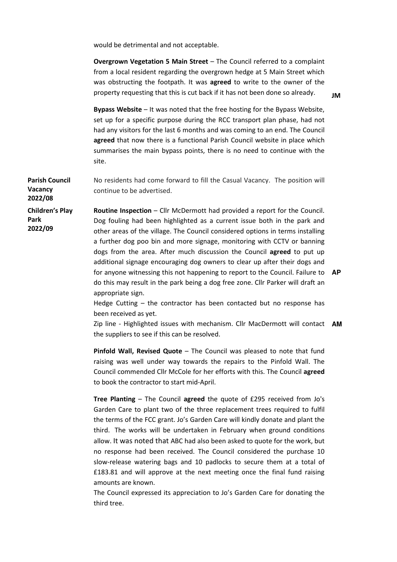would be detrimental and not acceptable.

**Overgrown Vegetation 5 Main Street** – The Council referred to a complaint from a local resident regarding the overgrown hedge at 5 Main Street which was obstructing the footpath. It was **agreed** to write to the owner of the property requesting that this is cut back if it has not been done so already.

**Bypass Website** – It was noted that the free hosting for the Bypass Website, set up for a specific purpose during the RCC transport plan phase, had not had any visitors for the last 6 months and was coming to an end. The Council **agreed** that now there is a functional Parish Council website in place which summarises the main bypass points, there is no need to continue with the site.

**Parish Council Vacancy 2022/08**  No residents had come forward to fill the Casual Vacancy. The position will continue to be advertised.

**Children's Play Park 2022/09**

**Routine Inspection** – Cllr McDermott had provided a report for the Council. Dog fouling had been highlighted as a current issue both in the park and other areas of the village. The Council considered options in terms installing a further dog poo bin and more signage, monitoring with CCTV or banning dogs from the area. After much discussion the Council **agreed** to put up additional signage encouraging dog owners to clear up after their dogs and for anyone witnessing this not happening to report to the Council. Failure to **AP**  do this may result in the park being a dog free zone. Cllr Parker will draft an appropriate sign.

Hedge Cutting – the contractor has been contacted but no response has been received as yet.

Zip line - Highlighted issues with mechanism. Cllr MacDermott will contact **AM** the suppliers to see if this can be resolved.

**Pinfold Wall, Revised Quote** – The Council was pleased to note that fund raising was well under way towards the repairs to the Pinfold Wall. The Council commended Cllr McCole for her efforts with this. The Council **agreed** to book the contractor to start mid-April.

**Tree Planting** – The Council **agreed** the quote of £295 received from Jo's Garden Care to plant two of the three replacement trees required to fulfil the terms of the FCC grant. Jo's Garden Care will kindly donate and plant the third. The works will be undertaken in February when ground conditions allow. It was noted that ABC had also been asked to quote for the work, but no response had been received. The Council considered the purchase 10 slow-release watering bags and 10 padlocks to secure them at a total of £183.81 and will approve at the next meeting once the final fund raising amounts are known.

The Council expressed its appreciation to Jo's Garden Care for donating the third tree.

**JM**